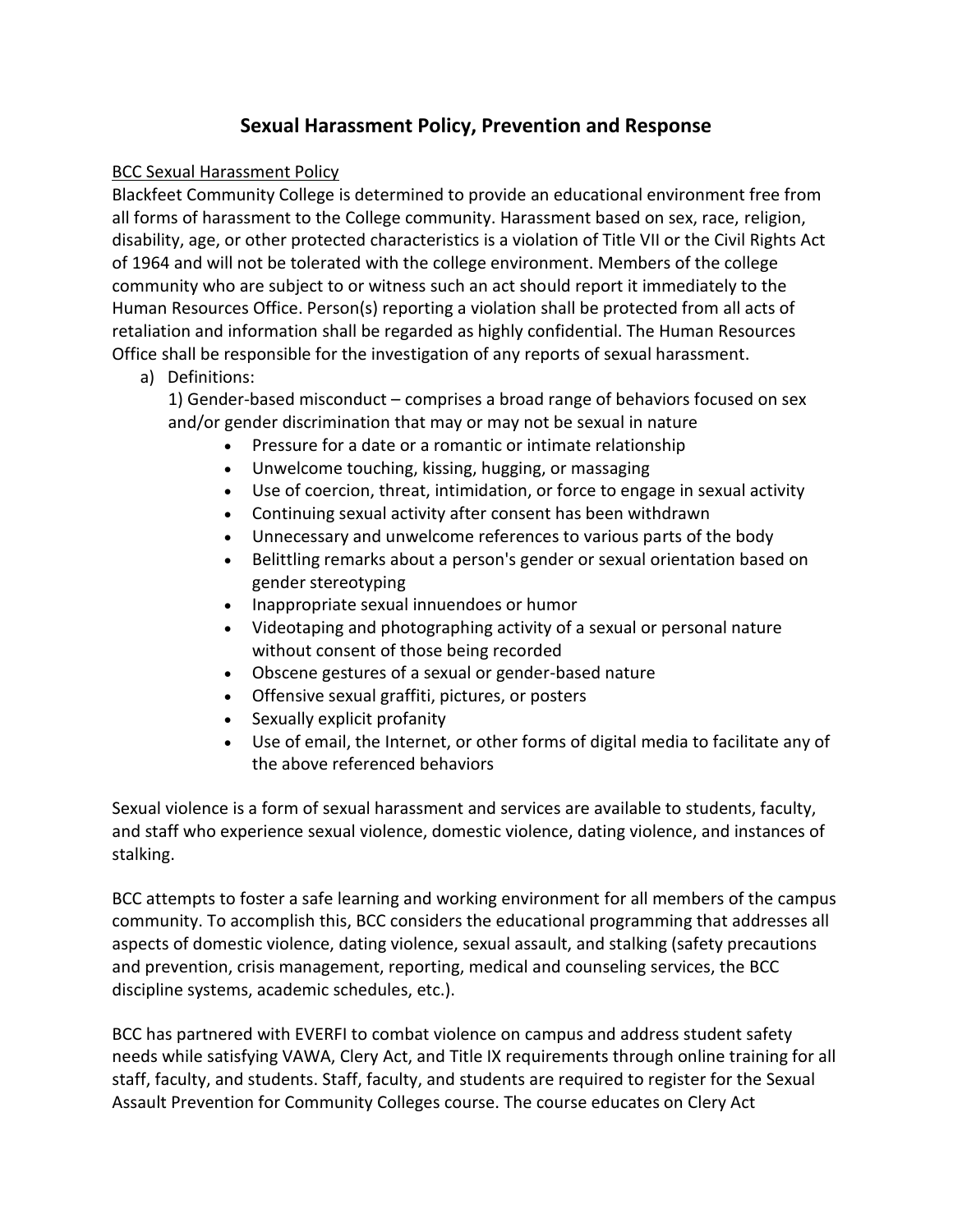# **Sexual Harassment Policy, Prevention and Response**

# BCC Sexual Harassment Policy

Blackfeet Community College is determined to provide an educational environment free from all forms of harassment to the College community. Harassment based on sex, race, religion, disability, age, or other protected characteristics is a violation of Title VII or the Civil Rights Act of 1964 and will not be tolerated with the college environment. Members of the college community who are subject to or witness such an act should report it immediately to the Human Resources Office. Person(s) reporting a violation shall be protected from all acts of retaliation and information shall be regarded as highly confidential. The Human Resources Office shall be responsible for the investigation of any reports of sexual harassment.

# a) Definitions:

1) Gender-based misconduct – comprises a broad range of behaviors focused on sex and/or gender discrimination that may or may not be sexual in nature

- Pressure for a date or a romantic or intimate relationship
- Unwelcome touching, kissing, hugging, or massaging
- Use of coercion, threat, intimidation, or force to engage in sexual activity
- Continuing sexual activity after consent has been withdrawn
- Unnecessary and unwelcome references to various parts of the body
- Belittling remarks about a person's gender or sexual orientation based on gender stereotyping
- Inappropriate sexual innuendoes or humor
- Videotaping and photographing activity of a sexual or personal nature without consent of those being recorded
- Obscene gestures of a sexual or gender-based nature
- Offensive sexual graffiti, pictures, or posters
- Sexually explicit profanity
- Use of email, the Internet, or other forms of digital media to facilitate any of the above referenced behaviors

Sexual violence is a form of sexual harassment and services are available to students, faculty, and staff who experience sexual violence, domestic violence, dating violence, and instances of stalking.

BCC attempts to foster a safe learning and working environment for all members of the campus community. To accomplish this, BCC considers the educational programming that addresses all aspects of domestic violence, dating violence, sexual assault, and stalking (safety precautions and prevention, crisis management, reporting, medical and counseling services, the BCC discipline systems, academic schedules, etc.).

BCC has partnered with EVERFI to combat violence on campus and address student safety needs while satisfying VAWA, Clery Act, and Title IX requirements through online training for all staff, faculty, and students. Staff, faculty, and students are required to register for the Sexual Assault Prevention for Community Colleges course. The course educates on Clery Act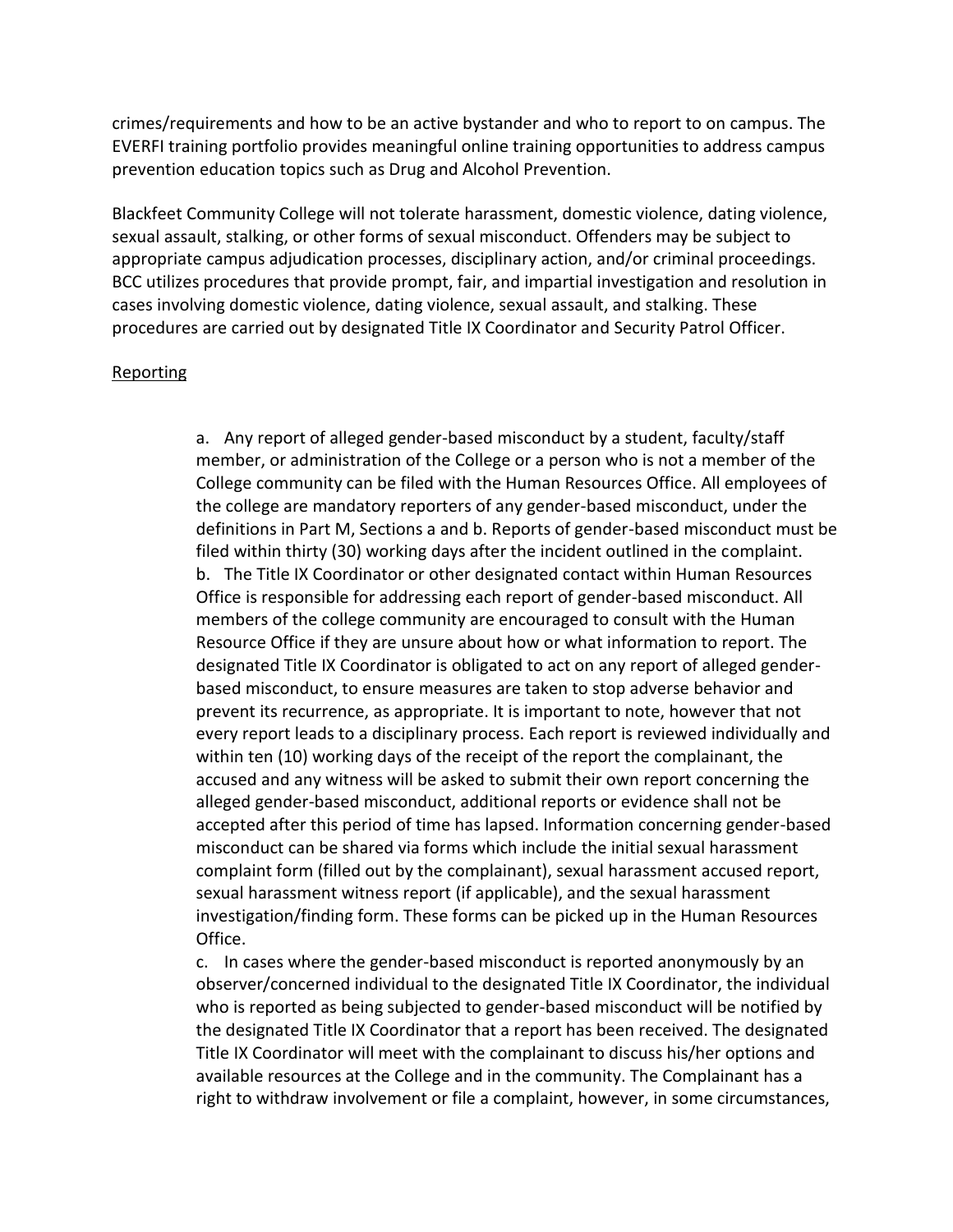crimes/requirements and how to be an active bystander and who to report to on campus. The EVERFI training portfolio provides meaningful online training opportunities to address campus prevention education topics such as Drug and Alcohol Prevention.

Blackfeet Community College will not tolerate harassment, domestic violence, dating violence, sexual assault, stalking, or other forms of sexual misconduct. Offenders may be subject to appropriate campus adjudication processes, disciplinary action, and/or criminal proceedings. BCC utilizes procedures that provide prompt, fair, and impartial investigation and resolution in cases involving domestic violence, dating violence, sexual assault, and stalking. These procedures are carried out by designated Title IX Coordinator and Security Patrol Officer.

#### Reporting

a. Any report of alleged gender-based misconduct by a student, faculty/staff member, or administration of the College or a person who is not a member of the College community can be filed with the Human Resources Office. All employees of the college are mandatory reporters of any gender-based misconduct, under the definitions in Part M, Sections a and b. Reports of gender-based misconduct must be filed within thirty (30) working days after the incident outlined in the complaint. b. The Title IX Coordinator or other designated contact within Human Resources Office is responsible for addressing each report of gender-based misconduct. All members of the college community are encouraged to consult with the Human Resource Office if they are unsure about how or what information to report. The designated Title IX Coordinator is obligated to act on any report of alleged genderbased misconduct, to ensure measures are taken to stop adverse behavior and prevent its recurrence, as appropriate. It is important to note, however that not every report leads to a disciplinary process. Each report is reviewed individually and within ten (10) working days of the receipt of the report the complainant, the accused and any witness will be asked to submit their own report concerning the alleged gender-based misconduct, additional reports or evidence shall not be accepted after this period of time has lapsed. Information concerning gender-based misconduct can be shared via forms which include the initial sexual harassment complaint form (filled out by the complainant), sexual harassment accused report, sexual harassment witness report (if applicable), and the sexual harassment investigation/finding form. These forms can be picked up in the Human Resources Office.

c. In cases where the gender-based misconduct is reported anonymously by an observer/concerned individual to the designated Title IX Coordinator, the individual who is reported as being subjected to gender-based misconduct will be notified by the designated Title IX Coordinator that a report has been received. The designated Title IX Coordinator will meet with the complainant to discuss his/her options and available resources at the College and in the community. The Complainant has a right to withdraw involvement or file a complaint, however, in some circumstances,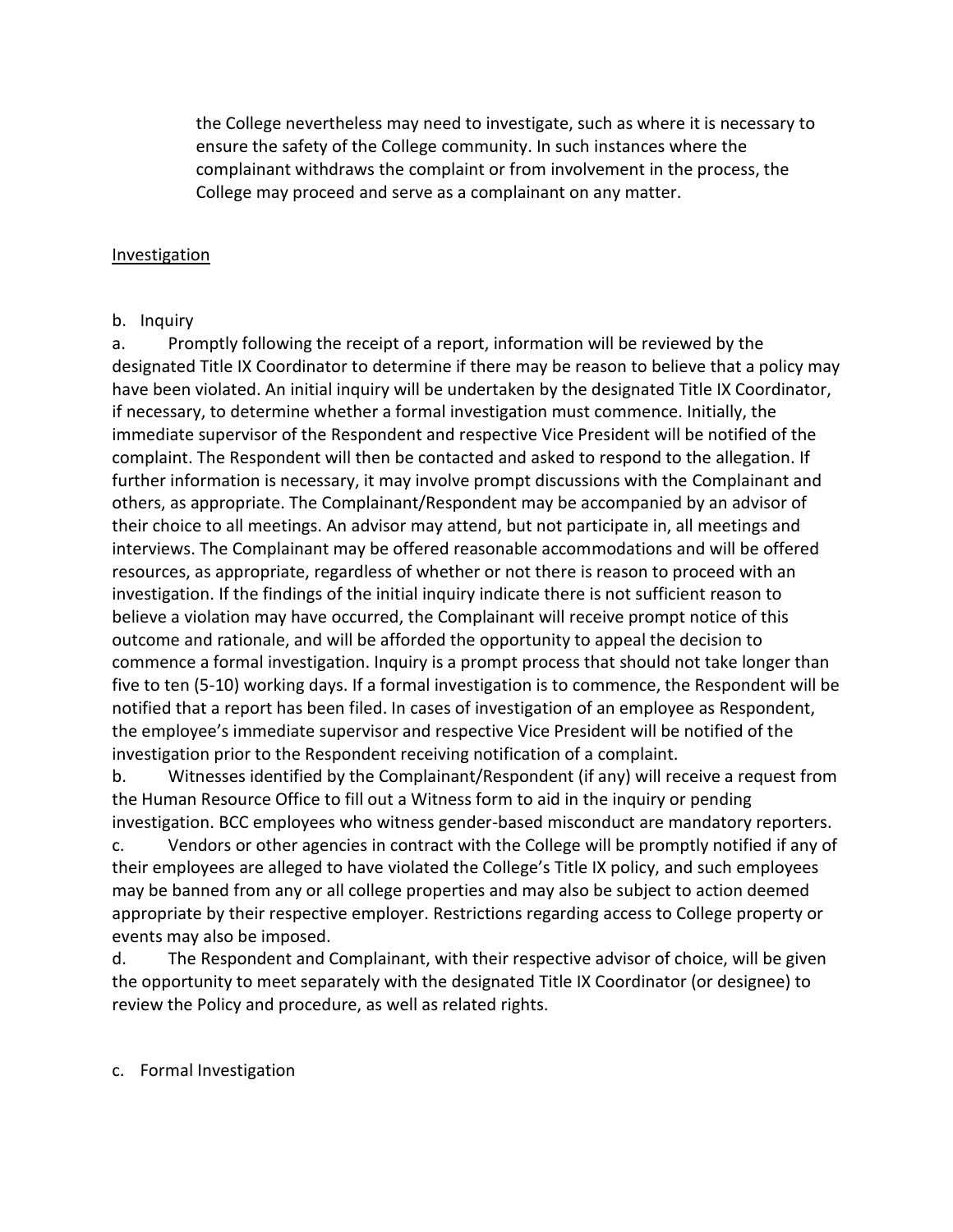the College nevertheless may need to investigate, such as where it is necessary to ensure the safety of the College community. In such instances where the complainant withdraws the complaint or from involvement in the process, the College may proceed and serve as a complainant on any matter.

## **Investigation**

### b. Inquiry

a. Promptly following the receipt of a report, information will be reviewed by the designated Title IX Coordinator to determine if there may be reason to believe that a policy may have been violated. An initial inquiry will be undertaken by the designated Title IX Coordinator, if necessary, to determine whether a formal investigation must commence. Initially, the immediate supervisor of the Respondent and respective Vice President will be notified of the complaint. The Respondent will then be contacted and asked to respond to the allegation. If further information is necessary, it may involve prompt discussions with the Complainant and others, as appropriate. The Complainant/Respondent may be accompanied by an advisor of their choice to all meetings. An advisor may attend, but not participate in, all meetings and interviews. The Complainant may be offered reasonable accommodations and will be offered resources, as appropriate, regardless of whether or not there is reason to proceed with an investigation. If the findings of the initial inquiry indicate there is not sufficient reason to believe a violation may have occurred, the Complainant will receive prompt notice of this outcome and rationale, and will be afforded the opportunity to appeal the decision to commence a formal investigation. Inquiry is a prompt process that should not take longer than five to ten (5-10) working days. If a formal investigation is to commence, the Respondent will be notified that a report has been filed. In cases of investigation of an employee as Respondent, the employee's immediate supervisor and respective Vice President will be notified of the investigation prior to the Respondent receiving notification of a complaint.

b. Witnesses identified by the Complainant/Respondent (if any) will receive a request from the Human Resource Office to fill out a Witness form to aid in the inquiry or pending investigation. BCC employees who witness gender-based misconduct are mandatory reporters.

c. Vendors or other agencies in contract with the College will be promptly notified if any of their employees are alleged to have violated the College's Title IX policy, and such employees may be banned from any or all college properties and may also be subject to action deemed appropriate by their respective employer. Restrictions regarding access to College property or events may also be imposed.

d. The Respondent and Complainant, with their respective advisor of choice, will be given the opportunity to meet separately with the designated Title IX Coordinator (or designee) to review the Policy and procedure, as well as related rights.

### c. Formal Investigation